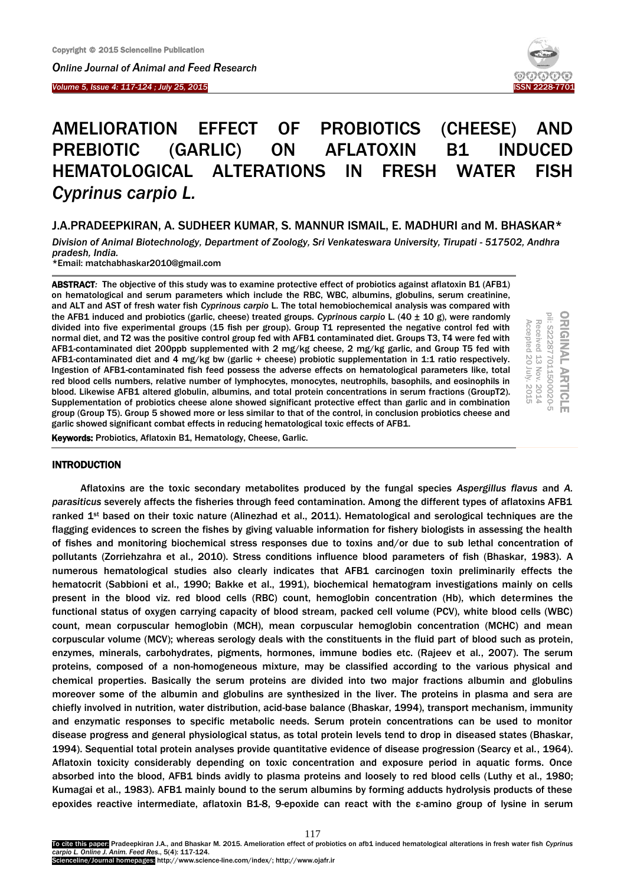I



# AMELIORATION EFFECT OF PROBIOTICS (CHEESE) AND PREBIOTIC (GARLIC) ON AFLATOXIN B1 INDUCED HEMATOLOGICAL ALTERATIONS IN FRESH WATER FISH *Cyprinus carpio L.*

J.A.PRADEEPKIRAN, A. SUDHEER KUMAR, S. MANNUR ISMAIL, E. MADHURI and M. BHASKAR\*

*Division of Animal Biotechnology, Department of Zoology, Sri Venkateswara University, Tirupati - 517502, Andhra pradesh, India.*

\*Email: matchabhaskar2010@gmail.com

ABSTRACT*:* The objective of this study was to examine protective effect of probiotics against aflatoxin B1 (AFB1) on hematological and serum parameters which include the RBC, WBC, albumins, globulins, serum creatinine, and ALT and AST of fresh water fish *Cyprinous carpio* L. The total hemobiochemical analysis was compared with the AFB1 induced and probiotics (garlic, cheese) treated groups. *Cyprinous carpio* L. (40 ± 10 g), were randomly divided into five experimental groups (15 fish per group). Group T1 represented the negative control fed with normal diet, and T2 was the positive control group fed with AFB1 contaminated diet. Groups T3, T4 were fed with AFB1-contaminated diet 200ppb supplemented with 2 mg/kg cheese, 2 mg/kg garlic, and Group T5 fed with AFB1-contaminated diet and 4 mg/kg bw (garlic + cheese) probiotic supplementation in 1:1 ratio respectively. Ingestion of AFB1-contaminated fish feed possess the adverse effects on hematological parameters like, total red blood cells numbers, relative number of lymphocytes, monocytes, neutrophils, basophils, and eosinophils in blood. Likewise AFB1 altered globulin, albumins, and total protein concentrations in serum fractions (GroupT2). Supplementation of probiotics cheese alone showed significant protective effect than garlic and in combination group (Group T5). Group 5 showed more or less similar to that of the control, in conclusion probiotics cheese and garlic showed significant combat effects in reducing hematological toxic effects of AFB1.

**ORIGINAL ARTICLE**<br>pii: S222877011500020-5 Received 13 Nov. 2014<br>Accepted 20 July. 2015 Received 13 Nov. 2014

Accepted 20

July. 2015

Keywords: Probiotics, Aflatoxin B1, Hematology, Cheese, Garlic.

# INTRODUCTION

Aflatoxins are the toxic secondary metabolites produced by the fungal species *Aspergillus flavus* and *A. parasiticus* severely affects the fisheries through feed contamination. Among the different types of aflatoxins AFB1 ranked 1<sup>st</sup> based on their toxic nature (Alinezhad et al., 2011). Hematological and serological techniques are the flagging evidences to screen the fishes by giving valuable information for fishery biologists in assessing the health of fishes and monitoring biochemical stress responses due to toxins and/or due to sub lethal concentration of pollutants (Zorriehzahra et al., 2010). Stress conditions influence blood parameters of fish (Bhaskar, 1983). A numerous hematological studies also clearly indicates that AFB1 carcinogen toxin preliminarily effects the hematocrit (Sabbioni et al., 1990; Bakke et al., 1991), biochemical hematogram investigations mainly on cells present in the blood viz. red blood cells (RBC) count, hemoglobin concentration (Hb), which determines the functional status of oxygen carrying capacity of blood stream, packed cell volume (PCV), white blood cells (WBC) count, mean corpuscular hemoglobin (MCH), mean corpuscular hemoglobin concentration (MCHC) and mean corpuscular volume (MCV); whereas serology deals with the constituents in the fluid part of blood such as protein, enzymes, minerals, carbohydrates, pigments, hormones, immune bodies etc. (Rajeev et al., 2007). The serum proteins, composed of a non-homogeneous mixture, may be classified according to the various physical and chemical properties. Basically the serum proteins are divided into two major fractions albumin and globulins moreover some of the albumin and globulins are synthesized in the liver. The proteins in plasma and sera are chiefly involved in nutrition, water distribution, acid-base balance (Bhaskar, 1994), transport mechanism, immunity and enzymatic responses to specific metabolic needs. Serum protein concentrations can be used to monitor disease progress and general physiological status, as total protein levels tend to drop in diseased states (Bhaskar, 1994). Sequential total protein analyses provide quantitative evidence of disease progression (Searcy et al., 1964). Aflatoxin toxicity considerably depending on toxic concentration and exposure period in aquatic forms. Once absorbed into the blood, AFB1 binds avidly to plasma proteins and loosely to red blood cells (Luthy et al., 1980; Kumagai et al., 1983). AFB1 mainly bound to the serum albumins by forming adducts hydrolysis products of these epoxides reactive intermediate, aflatoxin B1-8, 9-epoxide can react with the ε-amino group of lysine in serum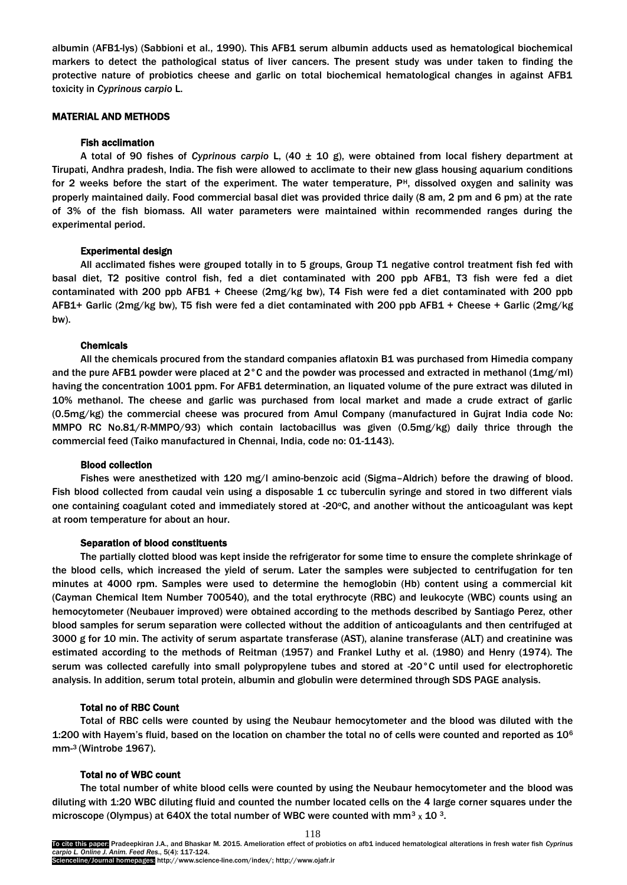albumin (AFB1-lys) (Sabbioni et al., 1990). This AFB1 serum albumin adducts used as hematological biochemical markers to detect the pathological status of liver cancers. The present study was under taken to finding the protective nature of probiotics cheese and garlic on total biochemical hematological changes in against AFB1 toxicity in *Cyprinous carpio* L.

## MATERIAL AND METHODS

## Fish acclimation

A total of 90 fishes of *Cyprinous carpio* L, (40 ± 10 g), were obtained from local fishery department at Tirupati, Andhra pradesh, India. The fish were allowed to acclimate to their new glass housing aquarium conditions for 2 weeks before the start of the experiment. The water temperature,  $P<sup>H</sup>$ , dissolved oxygen and salinity was properly maintained daily. Food commercial basal diet was provided thrice daily (8 am, 2 pm and 6 pm) at the rate of 3% of the fish biomass. All water parameters were maintained within recommended ranges during the experimental period.

## Experimental design

All acclimated fishes were grouped totally in to 5 groups, Group T1 negative control treatment fish fed with basal diet, T2 positive control fish, fed a diet contaminated with 200 ppb AFB1, T3 fish were fed a diet contaminated with 200 ppb AFB1 + Cheese (2mg/kg bw), T4 Fish were fed a diet contaminated with 200 ppb AFB1+ Garlic (2mg/kg bw), T5 fish were fed a diet contaminated with 200 ppb AFB1 + Cheese + Garlic (2mg/kg bw).

# Chemicals

All the chemicals procured from the standard companies aflatoxin B1 was purchased from Himedia company and the pure AFB1 powder were placed at 2°C and the powder was processed and extracted in methanol (1mg/ml) having the concentration 1001 ppm. For AFB1 determination, an liquated volume of the pure extract was diluted in 10% methanol. The cheese and garlic was purchased from local market and made a crude extract of garlic (0.5mg/kg) the commercial cheese was procured from Amul Company (manufactured in Gujrat India code No: MMPO RC No.81/R-MMPO/93) which contain lactobacillus was given (0.5mg/kg) daily thrice through the commercial feed (Taiko manufactured in Chennai, India, code no: 01-1143).

#### Blood collection

Fishes were anesthetized with 120 mg/l amino-benzoic acid (Sigma–Aldrich) before the drawing of blood. Fish blood collected from caudal vein using a disposable 1 cc tuberculin syringe and stored in two different vials one containing coagulant coted and immediately stored at -20°C, and another without the anticoagulant was kept at room temperature for about an hour.

## Separation of blood constituents

The partially clotted blood was kept inside the refrigerator for some time to ensure the complete shrinkage of the blood cells, which increased the yield of serum. Later the samples were subjected to centrifugation for ten minutes at 4000 rpm. Samples were used to determine the hemoglobin (Hb) content using a commercial kit (Cayman Chemical Item Number 700540), and the total erythrocyte (RBC) and leukocyte (WBC) counts using an hemocytometer (Neubauer improved) were obtained according to the methods described by Santiago Perez, other blood samples for serum separation were collected without the addition of anticoagulants and then centrifuged at 3000 g for 10 min. The activity of serum aspartate transferase (AST), alanine transferase (ALT) and creatinine was estimated according to the methods of Reitman (1957) and Frankel Luthy et al. (1980) and Henry (1974). The serum was collected carefully into small polypropylene tubes and stored at -20°C until used for electrophoretic analysis. In addition, serum total protein, albumin and globulin were determined through SDS PAGE analysis.

#### Total no of RBC Count

Total of RBC cells were counted by using the Neubaur hemocytometer and the blood was diluted with the 1:200 with Hayem's fluid, based on the location on chamber the total no of cells were counted and reported as  $10^6$ mm-<sup>3</sup>(Wintrobe 1967).

## Total no of WBC count

The total number of white blood cells were counted by using the Neubaur hemocytometer and the blood was diluting with 1:20 WBC diluting fluid and counted the number located cells on the 4 large corner squares under the microscope (Olympus) at 640X the total number of WBC were counted with mm<sup>3</sup> x 10<sup>3</sup>.

118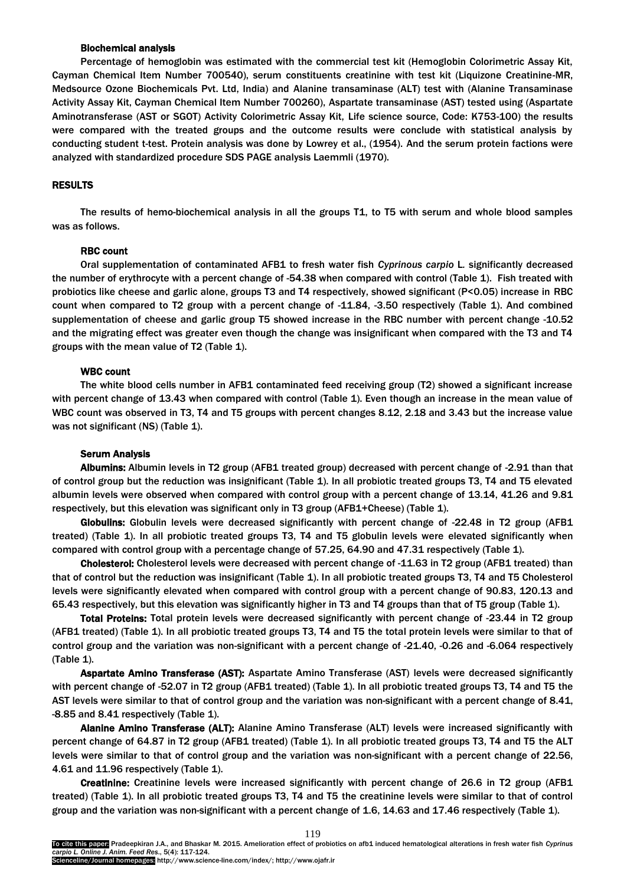## Biochemical analysis

Percentage of hemoglobin was estimated with the commercial test kit (Hemoglobin Colorimetric Assay Kit, Cayman Chemical Item Number 700540), serum constituents creatinine with test kit (Liquizone Creatinine-MR, Medsource Ozone Biochemicals Pvt. Ltd, India) and Alanine transaminase (ALT) test with (Alanine Transaminase Activity Assay Kit, Cayman Chemical Item Number 700260), Aspartate transaminase (AST) tested using (Aspartate Aminotransferase (AST or SGOT) Activity Colorimetric Assay Kit, Life science source, Code: K753-100) the results were compared with the treated groups and the outcome results were conclude with statistical analysis by conducting student t-test. Protein analysis was done by Lowrey et al., (1954). And the serum protein factions were analyzed with standardized procedure SDS PAGE analysis Laemmli (1970).

## RESULTS

The results of hemo-biochemical analysis in all the groups T1, to T5 with serum and whole blood samples was as follows.

# RBC count

Oral supplementation of contaminated AFB1 to fresh water fish *Cyprinous carpio* L*.* significantly decreased the number of erythrocyte with a percent change of -54.38 when compared with control (Table 1). Fish treated with probiotics like cheese and garlic alone, groups T3 and T4 respectively, showed significant (P<0.05) increase in RBC count when compared to T2 group with a percent change of -11.84, -3.50 respectively (Table 1). And combined supplementation of cheese and garlic group T5 showed increase in the RBC number with percent change -10.52 and the migrating effect was greater even though the change was insignificant when compared with the T3 and T4 groups with the mean value of T2 (Table 1).

#### WBC count

The white blood cells number in AFB1 contaminated feed receiving group (T2) showed a significant increase with percent change of 13.43 when compared with control (Table 1). Even though an increase in the mean value of WBC count was observed in T3, T4 and T5 groups with percent changes 8.12, 2.18 and 3.43 but the increase value was not significant (NS) (Table 1).

# Serum Analysis

Albumins: Albumin levels in T2 group (AFB1 treated group) decreased with percent change of -2.91 than that of control group but the reduction was insignificant (Table 1). In all probiotic treated groups T3, T4 and T5 elevated albumin levels were observed when compared with control group with a percent change of 13.14, 41.26 and 9.81 respectively, but this elevation was significant only in T3 group (AFB1+Cheese) (Table 1).

Globulins: Globulin levels were decreased significantly with percent change of -22.48 in T2 group (AFB1 treated) (Table 1). In all probiotic treated groups T3, T4 and T5 globulin levels were elevated significantly when compared with control group with a percentage change of 57.25, 64.90 and 47.31 respectively (Table 1).

Cholesterol: Cholesterol levels were decreased with percent change of -11.63 in T2 group (AFB1 treated) than that of control but the reduction was insignificant (Table 1). In all probiotic treated groups T3, T4 and T5 Cholesterol levels were significantly elevated when compared with control group with a percent change of 90.83, 120.13 and 65.43 respectively, but this elevation was significantly higher in T3 and T4 groups than that of T5 group (Table 1).

Total Proteins: Total protein levels were decreased significantly with percent change of -23.44 in T2 group (AFB1 treated) (Table 1). In all probiotic treated groups T3, T4 and T5 the total protein levels were similar to that of control group and the variation was non-significant with a percent change of -21.40, -0.26 and -6.064 respectively (Table 1).

Aspartate Amino Transferase (AST): Aspartate Amino Transferase (AST) levels were decreased significantly with percent change of -52.07 in T2 group (AFB1 treated) (Table 1). In all probiotic treated groups T3, T4 and T5 the AST levels were similar to that of control group and the variation was non-significant with a percent change of 8.41, -8.85 and 8.41 respectively (Table 1).

Alanine Amino Transferase (ALT): Alanine Amino Transferase (ALT) levels were increased significantly with percent change of 64.87 in T2 group (AFB1 treated) (Table 1). In all probiotic treated groups T3, T4 and T5 the ALT levels were similar to that of control group and the variation was non-significant with a percent change of 22.56, 4.61 and 11.96 respectively (Table 1).

Creatinine: Creatinine levels were increased significantly with percent change of 26.6 in T2 group (AFB1 treated) (Table 1). In all probiotic treated groups T3, T4 and T5 the creatinine levels were similar to that of control group and the variation was non-significant with a percent change of 1.6, 14.63 and 17.46 respectively (Table 1).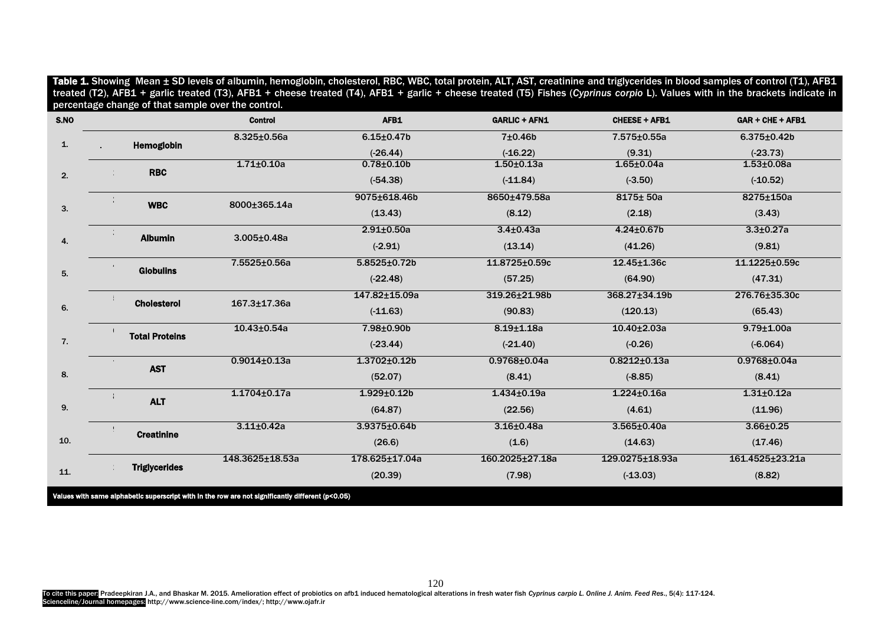|    |                       | <b>Control</b>     | AFB1               | <b>GARLIC + AFN1</b> | <b>CHEESE + AFB1</b> | <b>GAR + CHE + AFB1</b> |
|----|-----------------------|--------------------|--------------------|----------------------|----------------------|-------------------------|
|    | Hemoglobin            | $8.325 \pm 0.56a$  | $6.15 \pm 0.47$ b  | 7±0.46b              | 7.575±0.55a          | $6.375 \pm 0.42b$       |
|    |                       |                    | $(-26.44)$         | $(-16.22)$           | (9.31)               | $(-23.73)$              |
| 2. | <b>RBC</b>            | $1.71 \pm 0.10a$   | $0.78 + 0.10$      | $1.50 + 0.13a$       | $1.65 \pm 0.04a$     | $1.53 \pm 0.08a$        |
|    |                       |                    | $(-54.38)$         | $(-11.84)$           | $(-3.50)$            | $(-10.52)$              |
|    | <b>WBC</b>            | 8000±365.14a       | 9075±618.46b       | 8650±479.58a         | 8175± 50a            | 8275±150a               |
|    |                       |                    | (13.43)            | (8.12)               | (2.18)               | (3.43)                  |
|    | <b>Albumin</b>        | $3.005 \pm 0.48a$  | $2.91 \pm 0.50a$   | $3.4 + 0.43a$        | $4.24 \pm 0.67$ b    | $3.3 + 0.27a$           |
|    |                       |                    | $(-2.91)$          | (13.14)              | (41.26)              | (9.81)                  |
|    | <b>Globulins</b>      | 7.5525±0.56a       | $5.8525 \pm 0.72b$ | 11.8725±0.59c        | 12.45±1.36c          | 11.1225±0.59c           |
|    |                       |                    | $(-22.48)$         | (57.25)              | (64.90)              | (47.31)                 |
|    | <b>Cholesterol</b>    | $167.3 \pm 17.36a$ | 147.82±15.09a      | 319.26±21.98b        | 368.27±34.19b        | 276.76±35.30c           |
|    |                       |                    | $(-11.63)$         | (90.83)              | (120.13)             | (65.43)                 |
|    | <b>Total Proteins</b> | $10.43 \pm 0.54a$  | 7.98±0.90b         | $8.19 + 1.18a$       | $10.40 \pm 2.03a$    | $9.79 \pm 1.00a$        |
|    |                       |                    | $(-23.44)$         | $(-21.40)$           | $(-0.26)$            | $(-6.064)$              |
|    |                       | $0.9014 \pm 0.13a$ | $1.3702 \pm 0.12b$ | $0.9768 \pm 0.04a$   | $0.8212 \pm 0.13a$   | $0.9768 \pm 0.04a$      |
|    | <b>AST</b>            |                    | (52.07)            | (8.41)               | $(-8.85)$            | (8.41)                  |
|    |                       | $1.1704 \pm 0.17a$ | $1.929 \pm 0.12b$  | $1.434 \pm 0.19a$    | $1.224 \pm 0.16a$    | $1.31 \pm 0.12a$        |
|    | <b>ALT</b>            |                    | (64.87)            | (22.56)              | (4.61)               | (11.96)                 |
|    | <b>Creatinine</b>     | $3.11 \pm 0.42a$   | 3.9375±0.64b       | $3.16 + 0.48a$       | 3.565±0.40a          | 3.66±0.25               |
|    |                       |                    | (26.6)             | (1.6)                | (14.63)              | (17.46)                 |
|    | <b>Triglycerides</b>  | 148.3625±18.53a    | 178.625±17.04a     | 160.2025±27.18a      | 129.0275±18.93a      | 161.4525±23.21a         |
|    |                       |                    | (20.39)            | (7.98)               | $(-13.03)$           | (8.82)                  |

Table 1. Showing Mean ± SD levels of albumin, hemoglobin, cholesterol, RBC, WBC, total protein, ALT, AST, creatinine and triglycerides in blood samples of control (T1), AFB1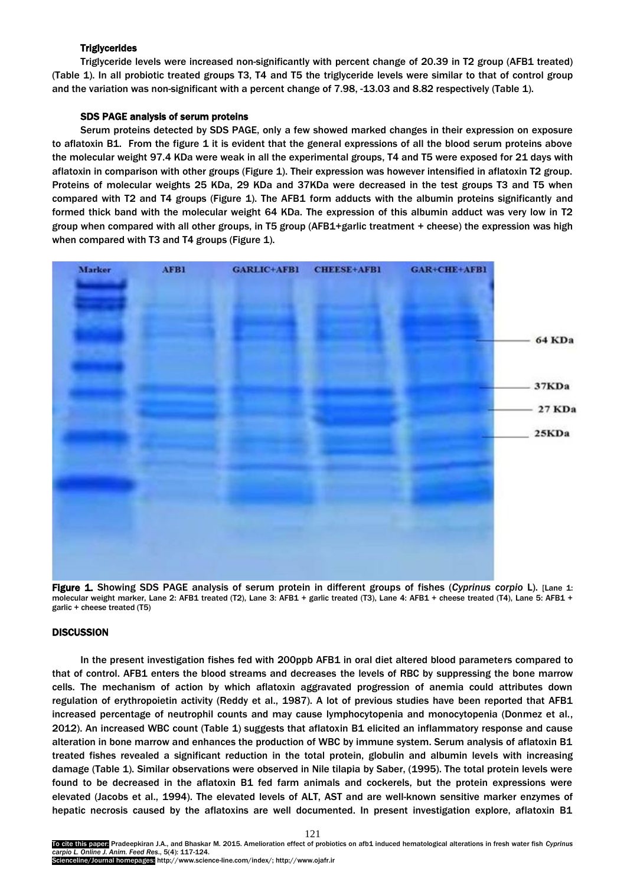# **Triglycerides**

Triglyceride levels were increased non-significantly with percent change of 20.39 in T2 group (AFB1 treated) (Table 1). In all probiotic treated groups T3, T4 and T5 the triglyceride levels were similar to that of control group and the variation was non-significant with a percent change of 7.98, -13.03 and 8.82 respectively (Table 1).

# SDS PAGE analysis of serum proteins

Serum proteins detected by SDS PAGE, only a few showed marked changes in their expression on exposure to aflatoxin B1. From the figure 1 it is evident that the general expressions of all the blood serum proteins above the molecular weight 97.4 KDa were weak in all the experimental groups, T4 and T5 were exposed for 21 days with aflatoxin in comparison with other groups (Figure 1). Their expression was however intensified in aflatoxin T2 group. Proteins of molecular weights 25 KDa, 29 KDa and 37KDa were decreased in the test groups T3 and T5 when compared with T2 and T4 groups (Figure 1). The AFB1 form adducts with the albumin proteins significantly and formed thick band with the molecular weight 64 KDa. The expression of this albumin adduct was very low in T2 group when compared with all other groups, in T5 group (AFB1+garlic treatment + cheese) the expression was high when compared with T3 and T4 groups (Figure 1).



Figure 1. Showing SDS PAGE analysis of serum protein in different groups of fishes (*Cyprinus corpio* L). [Lane 1: molecular weight marker, Lane 2: AFB1 treated (T2), Lane 3: AFB1 + garlic treated (T3), Lane 4: AFB1 + cheese treated (T4), Lane 5: AFB1 + garlic + cheese treated (T5)

# **DISCUSSION**

In the present investigation fishes fed with 200ppb AFB1 in oral diet altered blood parameters compared to that of control. AFB1 enters the blood streams and decreases the levels of RBC by suppressing the bone marrow cells. The mechanism of action by which aflatoxin aggravated progression of anemia could attributes down regulation of erythropoietin activity (Reddy et al., 1987). A lot of previous studies have been reported that AFB1 increased percentage of neutrophil counts and may cause lymphocytopenia and monocytopenia (Donmez et al., 2012). An increased WBC count (Table 1) suggests that aflatoxin B1 elicited an inflammatory response and cause alteration in bone marrow and enhances the production of WBC by immune system. Serum analysis of aflatoxin B1 treated fishes revealed a significant reduction in the total protein, globulin and albumin levels with increasing damage (Table 1). Similar observations were observed in Nile tilapia by Saber, (1995). The total protein levels were found to be decreased in the aflatoxin B1 fed farm animals and cockerels, but the protein expressions were elevated (Jacobs et al., 1994). The elevated levels of ALT, AST and are well-known sensitive marker enzymes of hepatic necrosis caused by the aflatoxins are well documented. In present investigation explore, aflatoxin B1

To cite this paper: Pradeepkiran J.A., and Bhaskar M. 2015. Amelioration effect of probiotics on afb1 induced hematological alterations in fresh water fish *Cyprinus carpio L. Online J. Anim. Feed Res*., 5(4): 117-124. Scienceline/Journal homepages: http://www.science-line.com/index/; http://www.ojafr.ir

121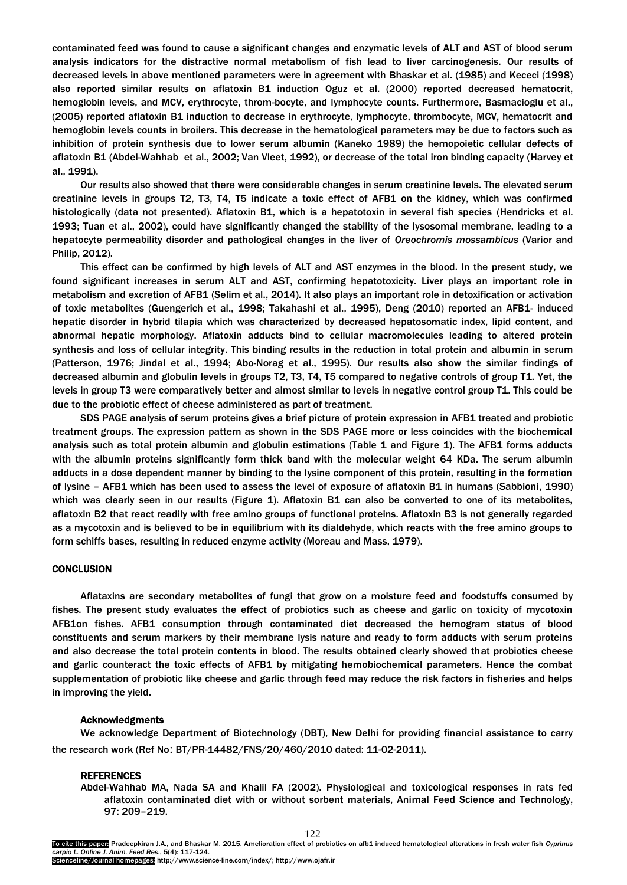contaminated feed was found to cause a significant changes and enzymatic levels of ALT and AST of blood serum analysis indicators for the distractive normal metabolism of fish lead to liver carcinogenesis. Our results of decreased levels in above mentioned parameters were in agreement with Bhaskar et al. (1985) and Kececi (1998) also reported similar results on aflatoxin B1 induction Oguz et al. (2000) reported decreased hematocrit, hemoglobin levels, and MCV, erythrocyte, throm-bocyte, and lymphocyte counts. Furthermore, Basmacioglu et al., (2005) reported aflatoxin B1 induction to decrease in erythrocyte, lymphocyte, thrombocyte, MCV, hematocrit and hemoglobin levels counts in broilers. This decrease in the hematological parameters may be due to factors such as inhibition of protein synthesis due to lower serum albumin (Kaneko 1989) the hemopoietic cellular defects of aflatoxin B1 (Abdel-Wahhab et al., 2002; Van Vleet, 1992), or decrease of the total iron binding capacity (Harvey et al., 1991).

Our results also showed that there were considerable changes in serum creatinine levels. The elevated serum creatinine levels in groups T2, T3, T4, T5 indicate a toxic effect of AFB1 on the kidney, which was confirmed histologically (data not presented). Aflatoxin B1, which is a hepatotoxin in several fish species (Hendricks et al. 1993; Tuan et al., 2002), could have significantly changed the stability of the lysosomal membrane, leading to a hepatocyte permeability disorder and pathological changes in the liver of *Oreochromis mossambicus* (Varior and Philip, 2012).

This effect can be confirmed by high levels of ALT and AST enzymes in the blood. In the present study, we found significant increases in serum ALT and AST, confirming hepatotoxicity. Liver plays an important role in metabolism and excretion of AFB1 (Selim et al., 2014). It also plays an important role in detoxification or activation of toxic metabolites (Guengerich et al., 1998; Takahashi et al., 1995), Deng (2010) reported an AFB1- induced hepatic disorder in hybrid tilapia which was characterized by decreased hepatosomatic index, lipid content, and abnormal hepatic morphology. Aflatoxin adducts bind to cellular macromolecules leading to altered protein synthesis and loss of cellular integrity. This binding results in the reduction in total protein and albumin in serum (Patterson, 1976; Jindal et al., 1994; Abo-Norag et al., 1995). Our results also show the similar findings of decreased albumin and globulin levels in groups T2, T3, T4, T5 compared to negative controls of group T1. Yet, the levels in group T3 were comparatively better and almost similar to levels in negative control group T1. This could be due to the probiotic effect of cheese administered as part of treatment.

SDS PAGE analysis of serum proteins gives a brief picture of protein expression in AFB1 treated and probiotic treatment groups. The expression pattern as shown in the SDS PAGE more or less coincides with the biochemical analysis such as total protein albumin and globulin estimations (Table 1 and Figure 1). The AFB1 forms adducts with the albumin proteins significantly form thick band with the molecular weight 64 KDa. The serum albumin adducts in a dose dependent manner by binding to the lysine component of this protein, resulting in the formation of lysine – AFB1 which has been used to assess the level of exposure of aflatoxin B1 in humans (Sabbioni, 1990) which was clearly seen in our results (Figure 1). Aflatoxin B1 can also be converted to one of its metabolites, aflatoxin B2 that react readily with free amino groups of functional proteins. Aflatoxin B3 is not generally regarded as a mycotoxin and is believed to be in equilibrium with its dialdehyde, which reacts with the free amino groups to form schiffs bases, resulting in reduced enzyme activity (Moreau and Mass, 1979).

## **CONCLUSION**

Aflataxins are secondary metabolites of fungi that grow on a moisture feed and foodstuffs consumed by fishes. The present study evaluates the effect of probiotics such as cheese and garlic on toxicity of mycotoxin AFB1on fishes. AFB1 consumption through contaminated diet decreased the hemogram status of blood constituents and serum markers by their membrane lysis nature and ready to form adducts with serum proteins and also decrease the total protein contents in blood. The results obtained clearly showed that probiotics cheese and garlic counteract the toxic effects of AFB1 by mitigating hemobiochemical parameters. Hence the combat supplementation of probiotic like cheese and garlic through feed may reduce the risk factors in fisheries and helps in improving the yield.

# Acknowledgments

We acknowledge Department of Biotechnology (DBT), New Delhi for providing financial assistance to carry the research work (Ref No: BT/PR-14482/FNS/20/460/2010 dated: 11-02-2011).

## REFERENCES

Abdel-Wahhab MA, Nada SA and Khalil FA (2002). Physiological and toxicological responses in rats fed aflatoxin contaminated diet with or without sorbent materials, Animal Feed Science and Technology, 97: 209–219.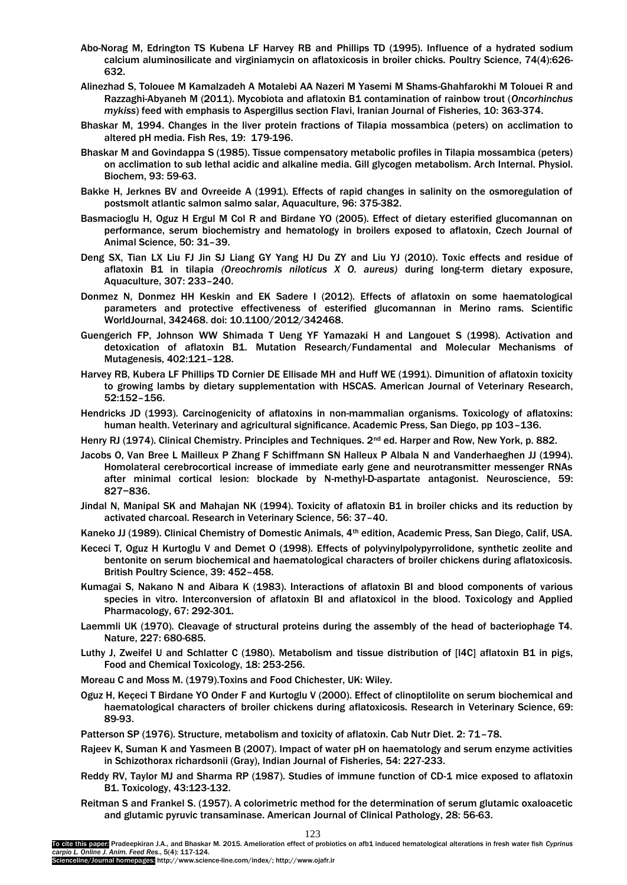- Abo-Norag M, Edrington TS Kubena LF Harvey RB and Phillips TD (1995). Influence of a hydrated sodium calcium aluminosilicate and virginiamycin on aflatoxicosis in broiler chicks. Poultry Science, 74(4):626- 632.
- Alinezhad S, Tolouee M Kamalzadeh A Motalebi AA Nazeri M Yasemi M Shams-Ghahfarokhi M Tolouei R and Razzaghi-Abyaneh M (2011). Mycobiota and aflatoxin B1 contamination of rainbow trout (*Oncorhinchus mykiss*) feed with emphasis to Aspergillus section Flavi, Iranian Journal of Fisheries, 10: 363-374.
- Bhaskar M, 1994. Changes in the liver protein fractions of Tilapia mossambica (peters) on acclimation to altered pH media. Fish Res, 19: 179-196.
- Bhaskar M and Govindappa S (1985). Tissue compensatory metabolic profiles in Tilapia mossambica (peters) on acclimation to sub lethal acidic and alkaline media. Gill glycogen metabolism. Arch Internal. Physiol. Biochem, 93: 59-63.
- Bakke H, Jerknes BV and Ovreeide A (1991). Effects of rapid changes in salinity on the osmoregulation of postsmolt atlantic salmon salmo salar, Aquaculture, 96: 375-382.
- Basmacioglu H, Oguz H Ergul M Col R and Birdane YO (2005). Effect of dietary esterified glucomannan on performance, serum biochemistry and hematology in broilers exposed to aflatoxin, Czech Journal of Animal Science, 50: 31–39.
- Deng SX, Tian LX Liu FJ Jin SJ Liang GY Yang HJ Du ZY and Liu YJ (2010). Toxic effects and residue of aflatoxin B1 in tilapia *(Oreochromis niloticus X O. aureus)* during long-term dietary exposure, Aquaculture, 307: 233–240.
- Donmez N, Donmez HH Keskin and EK Sadere I (2012). Effects of aflatoxin on some haematological parameters and protective effectiveness of esterified glucomannan in Merino rams. Scientific WorldJournal, 342468. doi: 10.1100/2012/342468.
- Guengerich FP, Johnson WW Shimada T Ueng YF Yamazaki H and Langouet S (1998). Activation and detoxication of aflatoxin B1. Mutation Research/Fundamental and Molecular Mechanisms of Mutagenesis, 402:121–128.
- Harvey RB, Kubera LF Phillips TD Cornier DE Ellisade MH and Huff WE (1991). Dimunition of aflatoxin toxicity to growing lambs by dietary supplementation with HSCAS. American Journal of Veterinary Research, 52:152–156.
- Hendricks JD (1993). Carcinogenicity of aflatoxins in non-mammalian organisms. Toxicology of aflatoxins: human health. Veterinary and agricultural significance. Academic Press, San Diego, pp 103–136.
- Henry RJ (1974). Clinical Chemistry. Principles and Techniques. 2<sup>nd</sup> ed. Harper and Row, New York, p. 882.
- Jacobs O, Van Bree L Mailleux P Zhang F Schiffmann SN Halleux P Albala N and Vanderhaeghen JJ (1994). Homolateral cerebrocortical increase of immediate early gene and neurotransmitter messenger RNAs after minimal cortical lesion: blockade by N-methyl-D-aspartate antagonist. Neuroscience, 59: 827−836.
- Jindal N, Manipal SK and Mahajan NK (1994). Toxicity of aflatoxin B1 in broiler chicks and its reduction by activated charcoal. Research in Veterinary Science, 56: 37–40.
- Kaneko JJ (1989). Clinical Chemistry of Domestic Animals, 4<sup>th</sup> edition, Academic Press, San Diego, Calif, USA.
- Kececi T, Oguz H Kurtoglu V and Demet O (1998). Effects of polyvinylpolypyrrolidone, synthetic zeolite and bentonite on serum biochemical and haematological characters of broiler chickens during aflatoxicosis. British Poultry Science, 39: 452–458.
- Kumagai S, Nakano N and Aibara K (1983). Interactions of aflatoxin BI and blood components of various species in vitro. Interconversion of aflatoxin BI and aflatoxicol in the blood. Toxicology and Applied Pharmacology, 67: 292-301.
- Laemmli UK (1970). Cleavage of structural proteins during the assembly of the head of bacteriophage T4. Nature, 227: 680-685.
- Luthy J, Zweifel U and Schlatter C (1980). Metabolism and tissue distribution of [I4C] aflatoxin B1 in pigs, Food and Chemical Toxicology, 18: 253-256.
- Moreau C and Moss M. (1979).Toxins and Food Chichester, UK: Wiley.
- Oguz H, Keçeci T Birdane YO Onder F and Kurtoglu V (2000). Effect of clinoptilolite on serum biochemical and haematological characters of broiler chickens during aflatoxicosis. Research in Veterinary Science, 69: 89-93.

Patterson SP (1976). Structure, metabolism and toxicity of aflatoxin. Cab Nutr Diet. 2: 71–78.

- Rajeev K, Suman K and Yasmeen B (2007). Impact of water pH on haematology and serum enzyme activities in Schizothorax richardsonii (Gray), Indian Journal of Fisheries, 54: 227-233.
- Reddy RV, Taylor MJ and Sharma RP (1987). Studies of immune function of CD-1 mice exposed to aflatoxin B1. Toxicology, 43:123-132.
- Reitman S and Frankel S. (1957). A colorimetric method for the determination of serum glutamic oxaloacetic and glutamic pyruvic transaminase. American Journal of Clinical Pathology, 28: 56-63.